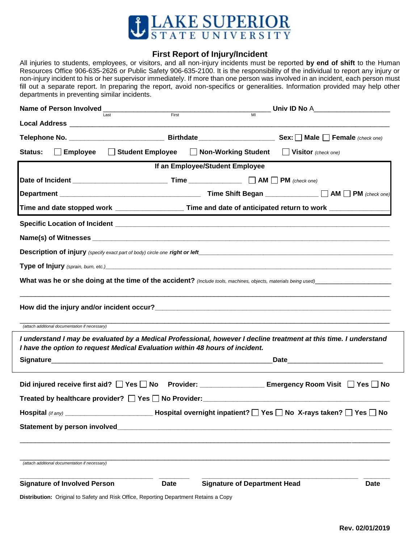

## **First Report of Injury/Incident**

All injuries to students, employees, or visitors, and all non-injury incidents must be reported **by end of shift** to the Human Resources Office 906-635-2626 or Public Safety 906-635-2100. It is the responsibility of the individual to report any injury or non-injury incident to his or her supervisor immediately. If more than one person was involved in an incident, each person must fill out a separate report. In preparing the report, avoid non-specifics or generalities. Information provided may help other departments in preventing similar incidents.

|                                                                                                                                                                                                   | Name of Person Involved<br>First<br>Last<br>MI |                                                                                                               |                                    |  |
|---------------------------------------------------------------------------------------------------------------------------------------------------------------------------------------------------|------------------------------------------------|---------------------------------------------------------------------------------------------------------------|------------------------------------|--|
|                                                                                                                                                                                                   |                                                |                                                                                                               |                                    |  |
|                                                                                                                                                                                                   |                                                |                                                                                                               |                                    |  |
| Status:<br>Employee<br>$\Box$                                                                                                                                                                     | □ Student Employee □ Non-Working Student       |                                                                                                               | $\blacksquare$ Visitor (check one) |  |
| If an Employee/Student Employee                                                                                                                                                                   |                                                |                                                                                                               |                                    |  |
|                                                                                                                                                                                                   |                                                |                                                                                                               |                                    |  |
|                                                                                                                                                                                                   |                                                |                                                                                                               |                                    |  |
|                                                                                                                                                                                                   |                                                | Time and date stopped work ________________________ Time and date of anticipated return to work _____________ |                                    |  |
|                                                                                                                                                                                                   |                                                |                                                                                                               |                                    |  |
|                                                                                                                                                                                                   |                                                |                                                                                                               |                                    |  |
|                                                                                                                                                                                                   |                                                |                                                                                                               |                                    |  |
|                                                                                                                                                                                                   |                                                |                                                                                                               |                                    |  |
|                                                                                                                                                                                                   |                                                |                                                                                                               |                                    |  |
|                                                                                                                                                                                                   |                                                |                                                                                                               |                                    |  |
|                                                                                                                                                                                                   |                                                |                                                                                                               |                                    |  |
| (attach additional documentation if necessary)                                                                                                                                                    |                                                |                                                                                                               |                                    |  |
| I understand I may be evaluated by a Medical Professional, however I decline treatment at this time. I understand<br>I have the option to request Medical Evaluation within 48 hours of incident. |                                                |                                                                                                               |                                    |  |
| _Date_______________________________                                                                                                                                                              |                                                |                                                                                                               |                                    |  |
|                                                                                                                                                                                                   |                                                |                                                                                                               |                                    |  |
| Did injured receive first aid? □ Yes □ No Provider: ____________________________ Emergency Room Visit □ Yes □ No                                                                                  |                                                |                                                                                                               |                                    |  |
|                                                                                                                                                                                                   |                                                |                                                                                                               |                                    |  |
| _____________________________ Hospital overnight inpatient? $\Box$ Yes $\Box$ No $\,$ X-rays taken? $\Box$ Yes $\Box$ No $\,$<br>Hospital (if any)                                                |                                                |                                                                                                               |                                    |  |
|                                                                                                                                                                                                   |                                                |                                                                                                               |                                    |  |
|                                                                                                                                                                                                   |                                                |                                                                                                               |                                    |  |
|                                                                                                                                                                                                   |                                                |                                                                                                               |                                    |  |
| (attach additional documentation if necessary)                                                                                                                                                    |                                                |                                                                                                               |                                    |  |
| <b>Signature of Involved Person</b>                                                                                                                                                               | Date                                           | <b>Signature of Department Head</b>                                                                           | <b>Date</b>                        |  |
| Distribution: Original to Safety and Risk Office, Reporting Department Retains a Copy                                                                                                             |                                                |                                                                                                               |                                    |  |